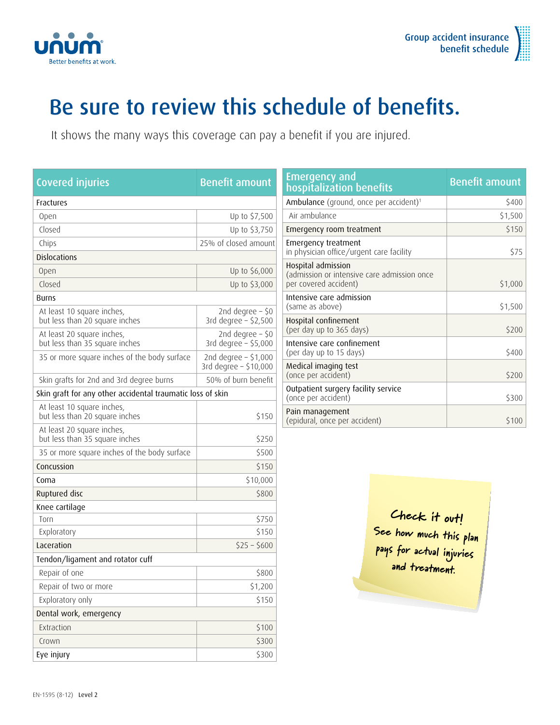



## Be sure to review this schedule of benefits.

It shows the many ways this coverage can pay a benefit if you are injured.

| <b>Covered injuries</b>                                      | <b>Benefit amount</b>                           |  |
|--------------------------------------------------------------|-------------------------------------------------|--|
| <b>Fractures</b>                                             |                                                 |  |
| Open                                                         | Up to \$7,500                                   |  |
| Closed                                                       | Up to \$3,750                                   |  |
| Chips                                                        | 25% of closed amount                            |  |
| <b>Dislocations</b>                                          |                                                 |  |
| <b>Open</b>                                                  | Up to \$6,000                                   |  |
| Closed                                                       | Up to \$3,000                                   |  |
| <b>Burns</b>                                                 |                                                 |  |
| At least 10 square inches,<br>but less than 20 square inches | 2nd degree $-$ \$0<br>3rd degree $-$ \$2,500    |  |
| At least 20 square inches,<br>but less than 35 square inches | 2nd degree $-$ \$0<br>3rd degree - \$5,000      |  |
| 35 or more square inches of the body surface                 | 2nd degree - \$1,000<br>3rd degree $-$ \$10,000 |  |
| Skin grafts for 2nd and 3rd degree burns                     | 50% of burn benefit                             |  |
| Skin graft for any other accidental traumatic loss of skin   |                                                 |  |
| At least 10 square inches,<br>but less than 20 square inches | \$150                                           |  |
| At least 20 square inches,<br>but less than 35 square inches | \$250                                           |  |
| 35 or more square inches of the body surface                 | \$500                                           |  |
| Concussion                                                   | \$150                                           |  |
| Coma                                                         | \$10,000                                        |  |
| Ruptured disc                                                | \$800                                           |  |
| Knee cartilage                                               |                                                 |  |
| Torn                                                         | \$750                                           |  |
| Exploratory                                                  | \$150                                           |  |
| Laceration                                                   | $$25 - $600$                                    |  |
| Tendon/ligament and rotator cuff                             |                                                 |  |
| Repair of one                                                | \$800                                           |  |
| Repair of two or more                                        | \$1,200                                         |  |
| Exploratory only                                             | \$150                                           |  |
| Dental work, emergency                                       |                                                 |  |
| Extraction                                                   | \$100                                           |  |
| Crown                                                        | \$300                                           |  |
| Eye injury                                                   | \$300                                           |  |

| Emergency and<br>hospitalization benefits                                                  | <b>Benefit amount</b> |
|--------------------------------------------------------------------------------------------|-----------------------|
| Ambulance (ground, once per accident) <sup>1</sup>                                         | \$400                 |
| Air ambulance                                                                              | \$1,500               |
| Emergency room treatment                                                                   | \$150                 |
| Emergency treatment<br>in physician office/urgent care facility                            | \$75                  |
| Hospital admission<br>(admission or intensive care admission once<br>per covered accident) | \$1,000               |
| Intensive care admission<br>(same as above)                                                | \$1,500               |
| Hospital confinement<br>(per day up to 365 days)                                           | \$200                 |
| Intensive care confinement<br>(per day up to 15 days)                                      | \$400                 |
| Medical imaging test<br>(once per accident)                                                | \$200                 |
| Outpatient surgery facility service<br>(once per accident)                                 | \$300                 |
| Pain management<br>(epidural, once per accident)                                           | \$100                 |

Check it out! See how much this plan pays for actual injuries and treatment.